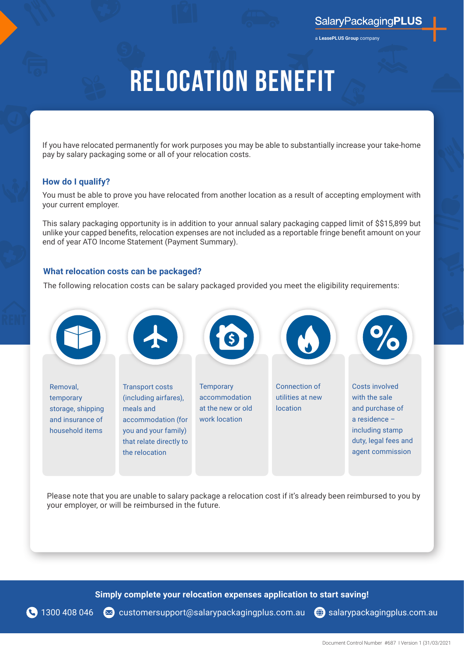a **LeasePLUS Group** company

## **Relocation Benefit**

If you have relocated permanently for work purposes you may be able to substantially increase your take-home pay by salary packaging some or all of your relocation costs.

### **How do I qualify?**

You must be able to prove you have relocated from another location as a result of accepting employment with your current employer.

This salary packaging opportunity is in addition to your annual salary packaging capped limit of \$\$15,899 but unlike your capped benefits, relocation expenses are not included as a reportable fringe benefit amount on your end of year ATO Income Statement (Payment Summary).

### **What relocation costs can be packaged?**

The following relocation costs can be salary packaged provided you meet the eligibility requirements:



Please note that you are unable to salary package a relocation cost if it's already been reimbursed to you by your employer, or will be reimbursed in the future.

**Simply complete your relocation expenses application to start saving!**

1300 408 046 < customersupport[@salarypackagingplus.com.au](mailto:nswhealth%40salarypackagingplus.com.au?subject=Salary%20packaging%20enquiries) ( [salarypackagingplus.com.au](https://www.salarypackagingplus.com.au/EmployeeToolkit/ApplicationForms#!/nsw-forms)